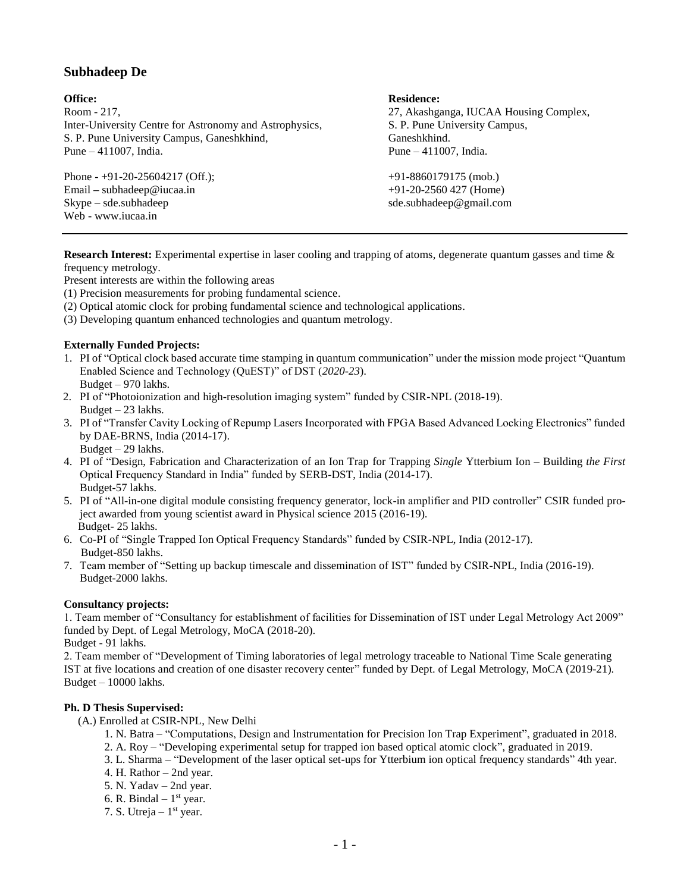# **Subhadeep De**

Room - 217, 27, Akashganga, IUCAA Housing Complex, Inter-University Centre for Astronomy and Astrophysics, S. P. Pune University Campus, S. P. Pune University Campus, Ganeshkhind, Ganeshkhind. Pune – 411007, India. Pune – 411007, India.

Phone - +91-20-25604217 (Off.); +91-8860179175 (mob.) Email **–** subhadeep@iucaa.in +91-20-2560 427 (Home) Skype – sde.subhadeep sde.subhadeep sde.subhadeep sde.subhadeep sde.subhadeep agmail.com Web **-** www.iucaa.in

# **Office: Residence: Residence: Residence: Residence: Residence: Residence: Residence: Residence: Residence: Residence: Residence: Residence: Residence: Residence: Residence: Residence: Res**

**Research Interest:** Experimental expertise in laser cooling and trapping of atoms, degenerate quantum gasses and time & frequency metrology.

Present interests are within the following areas

(1) Precision measurements for probing fundamental science.

- (2) Optical atomic clock for probing fundamental science and technological applications.
- (3) Developing quantum enhanced technologies and quantum metrology.

# **Externally Funded Projects:**

- 1. PI of "Optical clock based accurate time stamping in quantum communication" under the mission mode project "Quantum Enabled Science and Technology (QuEST)" of DST (*2020-23*).
- Budget 970 lakhs.
- 2. PI of "Photoionization and high-resolution imaging system" funded by CSIR-NPL (2018-19). Budget  $-23$  lakhs.
- 3. PI of "Transfer Cavity Locking of Repump Lasers Incorporated with FPGA Based Advanced Locking Electronics" funded by DAE-BRNS, India (2014-17). Budget – 29 lakhs.
- 4. PI of "Design, Fabrication and Characterization of an Ion Trap for Trapping *Single* Ytterbium Ion Building *the First*  Optical Frequency Standard in India" funded by SERB-DST, India (2014-17). Budget-57 lakhs.
- 5. PI of "All-in-one digital module consisting frequency generator, lock-in amplifier and PID controller" CSIR funded project awarded from young scientist award in Physical science 2015 (2016-19). Budget- 25 lakhs.
- 6. Co-PI of "Single Trapped Ion Optical Frequency Standards" funded by CSIR-NPL, India (2012-17). Budget-850 lakhs.
- 7. Team member of "Setting up backup timescale and dissemination of IST" funded by CSIR-NPL, India (2016-19). Budget-2000 lakhs.

# **Consultancy projects:**

1. Team member of "Consultancy for establishment of facilities for Dissemination of IST under Legal Metrology Act 2009" funded by Dept. of Legal Metrology, MoCA (2018-20).

Budget - 91 lakhs.

2. Team member of "Development of Timing laboratories of legal metrology traceable to National Time Scale generating IST at five locations and creation of one disaster recovery center" funded by Dept. of Legal Metrology, MoCA (2019-21). Budget – 10000 lakhs.

# **Ph. D Thesis Supervised:**

- (A.) Enrolled at CSIR-NPL, New Delhi
	- 1. N. Batra "Computations, Design and Instrumentation for Precision Ion Trap Experiment", graduated in 2018.
	- 2. A. Roy "Developing experimental setup for trapped ion based optical atomic clock", graduated in 2019.
	- 3. L. Sharma "Development of the laser optical set-ups for Ytterbium ion optical frequency standards" 4th year.
	- 4. H. Rathor 2nd year.
	- 5. N. Yadav 2nd year.
	- 6. R. Bindal  $1<sup>st</sup>$  year.
	- 7. S. Utreja  $-1<sup>st</sup>$  year.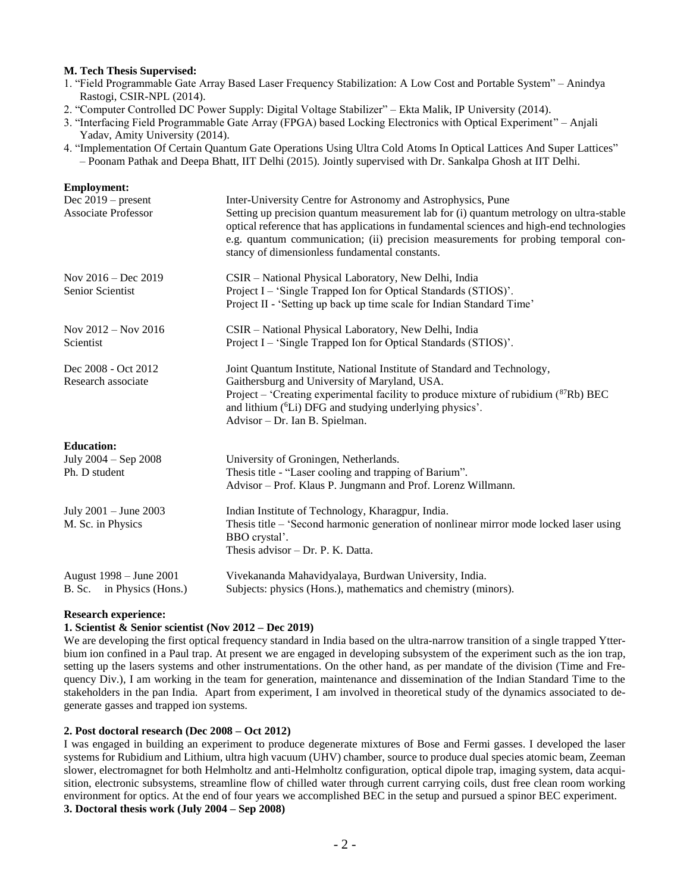#### **M. Tech Thesis Supervised:**

- 1. "Field Programmable Gate Array Based Laser Frequency Stabilization: A Low Cost and Portable System" Anindya Rastogi, CSIR-NPL (2014).
- 2. "Computer Controlled DC Power Supply: Digital Voltage Stabilizer" Ekta Malik, IP University (2014).
- 3. "Interfacing Field Programmable Gate Array (FPGA) based Locking Electronics with Optical Experiment" Anjali Yadav, Amity University (2014).
- 4. "Implementation Of Certain Quantum Gate Operations Using Ultra Cold Atoms In Optical Lattices And Super Lattices" – Poonam Pathak and Deepa Bhatt, IIT Delhi (2015). Jointly supervised with Dr. Sankalpa Ghosh at IIT Delhi.

| <b>Employment:</b>                                         |                                                                                                                                                                                                                                                                                                                                                                                            |
|------------------------------------------------------------|--------------------------------------------------------------------------------------------------------------------------------------------------------------------------------------------------------------------------------------------------------------------------------------------------------------------------------------------------------------------------------------------|
| Dec $2019$ – present<br><b>Associate Professor</b>         | Inter-University Centre for Astronomy and Astrophysics, Pune<br>Setting up precision quantum measurement lab for (i) quantum metrology on ultra-stable<br>optical reference that has applications in fundamental sciences and high-end technologies<br>e.g. quantum communication; (ii) precision measurements for probing temporal con-<br>stancy of dimensionless fundamental constants. |
| Nov $2016 - Dec 2019$<br>Senior Scientist                  | CSIR - National Physical Laboratory, New Delhi, India<br>Project I – 'Single Trapped Ion for Optical Standards (STIOS)'.<br>Project II - 'Setting up back up time scale for Indian Standard Time'                                                                                                                                                                                          |
| Nov 2012 - Nov 2016<br>Scientist                           | CSIR - National Physical Laboratory, New Delhi, India<br>Project I – 'Single Trapped Ion for Optical Standards (STIOS)'.                                                                                                                                                                                                                                                                   |
| Dec 2008 - Oct 2012<br>Research associate                  | Joint Quantum Institute, National Institute of Standard and Technology,<br>Gaithersburg and University of Maryland, USA.<br>Project – 'Creating experimental facility to produce mixture of rubidium $(^{87}Rb)$ BEC<br>and lithium ( <sup>6</sup> Li) DFG and studying underlying physics'.<br>Advisor - Dr. Ian B. Spielman.                                                             |
| <b>Education:</b><br>July 2004 - Sep 2008<br>Ph. D student | University of Groningen, Netherlands.<br>Thesis title - "Laser cooling and trapping of Barium".<br>Advisor – Prof. Klaus P. Jungmann and Prof. Lorenz Willmann.                                                                                                                                                                                                                            |
| July 2001 - June 2003<br>M. Sc. in Physics                 | Indian Institute of Technology, Kharagpur, India.<br>Thesis title – 'Second harmonic generation of nonlinear mirror mode locked laser using<br>BBO crystal'.<br>Thesis advisor - Dr. P. K. Datta.                                                                                                                                                                                          |
| August 1998 – June 2001<br>B. Sc. in Physics (Hons.)       | Vivekananda Mahavidyalaya, Burdwan University, India.<br>Subjects: physics (Hons.), mathematics and chemistry (minors).                                                                                                                                                                                                                                                                    |

#### **Research experience:**

#### **1. Scientist & Senior scientist (Nov 2012 – Dec 2019)**

We are developing the first optical frequency standard in India based on the ultra-narrow transition of a single trapped Ytterbium ion confined in a Paul trap. At present we are engaged in developing subsystem of the experiment such as the ion trap, setting up the lasers systems and other instrumentations. On the other hand, as per mandate of the division (Time and Frequency Div.), I am working in the team for generation, maintenance and dissemination of the Indian Standard Time to the stakeholders in the pan India. Apart from experiment, I am involved in theoretical study of the dynamics associated to degenerate gasses and trapped ion systems.

# **2. Post doctoral research (Dec 2008 – Oct 2012)**

I was engaged in building an experiment to produce degenerate mixtures of Bose and Fermi gasses. I developed the laser systems for Rubidium and Lithium, ultra high vacuum (UHV) chamber, source to produce dual species atomic beam, Zeeman slower, electromagnet for both Helmholtz and anti-Helmholtz configuration, optical dipole trap, imaging system, data acquisition, electronic subsystems, streamline flow of chilled water through current carrying coils, dust free clean room working environment for optics. At the end of four years we accomplished BEC in the setup and pursued a spinor BEC experiment. **3. Doctoral thesis work (July 2004 – Sep 2008)**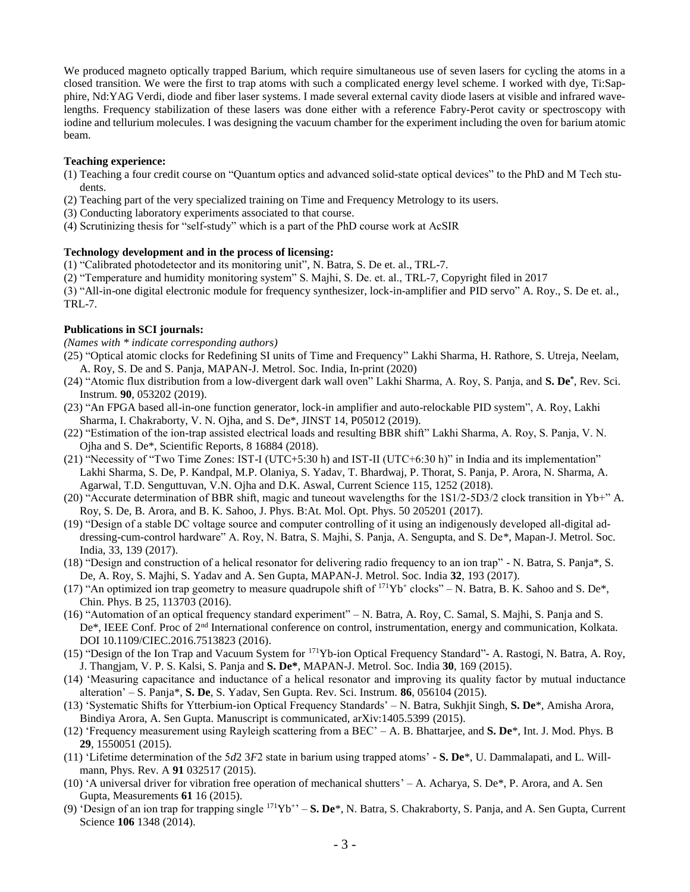We produced magneto optically trapped Barium, which require simultaneous use of seven lasers for cycling the atoms in a closed transition. We were the first to trap atoms with such a complicated energy level scheme. I worked with dye, Ti:Sapphire, Nd:YAG Verdi, diode and fiber laser systems. I made several external cavity diode lasers at visible and infrared wavelengths. Frequency stabilization of these lasers was done either with a reference Fabry-Perot cavity or spectroscopy with iodine and tellurium molecules. I was designing the vacuum chamber for the experiment including the oven for barium atomic beam.

#### **Teaching experience:**

- (1) Teaching a four credit course on "Quantum optics and advanced solid-state optical devices" to the PhD and M Tech students.
- (2) Teaching part of the very specialized training on Time and Frequency Metrology to its users.
- (3) Conducting laboratory experiments associated to that course.
- (4) Scrutinizing thesis for "self-study" which is a part of the PhD course work at AcSIR

#### **Technology development and in the process of licensing:**

- (1) "Calibrated photodetector and its monitoring unit", N. Batra, S. De et. al., TRL-7.
- (2) "Temperature and humidity monitoring system" S. Majhi, S. De. et. al., TRL-7, Copyright filed in 2017
- (3) "All-in-one digital electronic module for frequency synthesizer, lock-in-amplifier and PID servo" A. Roy., S. De et. al., TRL-7.

#### **Publications in SCI journals:**

*(Names with \* indicate corresponding authors)*

- (25) "Optical atomic clocks for Redefining SI units of Time and Frequency" Lakhi Sharma, H. Rathore, S. Utreja, Neelam, A. Roy, S. De and S. Panja, MAPAN-J. Metrol. Soc. India, In-print (2020)
- (24) "Atomic flux distribution from a low-divergent dark wall oven" Lakhi Sharma, A. Roy, S. Panja, and **S. De\*** , Rev. Sci. Instrum. **90**, 053202 (2019).
- (23) "An FPGA based all-in-one function generator, lock-in amplifier and auto-relockable PID system", A. Roy, Lakhi Sharma, I. Chakraborty, V. N. Ojha, and S. De\*, JINST 14, P05012 (2019).
- (22) "Estimation of the ion-trap assisted electrical loads and resulting BBR shift" Lakhi Sharma, A. Roy, S. Panja, V. N. Ojha and S. De\*, Scientific Reports, 8 16884 (2018).
- (21) "Necessity of "Two Time Zones: IST-I (UTC+5:30 h) and IST-II (UTC+6:30 h)" in India and its implementation" Lakhi Sharma, S. De, P. Kandpal, M.P. Olaniya, S. Yadav, T. Bhardwaj, P. Thorat, S. Panja, P. Arora, N. Sharma, A. Agarwal, T.D. Senguttuvan, V.N. Ojha and D.K. Aswal, Current Science 115, 1252 (2018).
- (20) "Accurate determination of BBR shift, magic and tuneout wavelengths for the 1S1/2-5D3/2 clock transition in Yb+" A. Roy, S. De, B. Arora, and B. K. Sahoo, J. Phys. B:At. Mol. Opt. Phys. 50 205201 (2017).
- (19) "Design of a stable DC voltage source and computer controlling of it using an indigenously developed all-digital addressing-cum-control hardware" A. Roy, N. Batra, S. Majhi, S. Panja, A. Sengupta, and S. De\*, Mapan-J. Metrol. Soc. India, 33, 139 (2017).
- (18) "Design and construction of a helical resonator for delivering radio frequency to an ion trap" N. Batra, S. Panja\*, S. De, A. Roy, S. Majhi, S. Yadav and A. Sen Gupta, MAPAN-J. Metrol. Soc. India **32**, 193 (2017).
- (17) "An optimized ion trap geometry to measure quadrupole shift of  $171Yb^+$  clocks" N. Batra, B. K. Sahoo and S. De\*, Chin. Phys. B 25, 113703 (2016).
- (16) "Automation of an optical frequency standard experiment" N. Batra, A. Roy, C. Samal, S. Majhi, S. Panja and S. De\*, IEEE Conf. Proc of 2nd International conference on control, instrumentation, energy and communication, Kolkata. DOI 10.1109/CIEC.2016.7513823 (2016).
- (15) "Design of the Ion Trap and Vacuum System for <sup>171</sup>Yb-ion Optical Frequency Standard"- A. Rastogi, N. Batra, A. Roy, J. Thangjam, V. P. S. Kalsi, S. Panja and **S. De\***, MAPAN-J. Metrol. Soc. India **30**, 169 (2015).
- (14) 'Measuring capacitance and inductance of a helical resonator and improving its quality factor by mutual inductance alteration' – S. Panja\*, **S. De**, S. Yadav, Sen Gupta. Rev. Sci. Instrum. **86**, 056104 (2015).
- (13) 'Systematic Shifts for Ytterbium-ion Optical Frequency Standards' N. Batra, Sukhjit Singh, **S. De**\*, Amisha Arora, Bindiya Arora, A. Sen Gupta. Manuscript is communicated, arXiv:1405.5399 (2015).
- (12) 'Frequency measurement using Rayleigh scattering from a BEC' A. B. Bhattarjee, and **S. De**\*, Int. J. Mod. Phys. B **29**, 1550051 (2015).
- (11) 'Lifetime determination of the 5*d*2 3*F*2 state in barium using trapped atoms' **S. De**\*, U. Dammalapati, and L. Willmann, Phys. Rev. A **91** 032517 (2015).
- (10) 'A universal driver for vibration free operation of mechanical shutters' A. Acharya, S. De\*, P. Arora, and A. Sen Gupta, Measurements **61** 16 (2015).
- (9) 'Design of an ion trap for trapping single <sup>171</sup>Yb<sup>+</sup>' S. De<sup>\*</sup>, N. Batra, S. Chakraborty, S. Panja, and A. Sen Gupta, Current Science **106** 1348 (2014).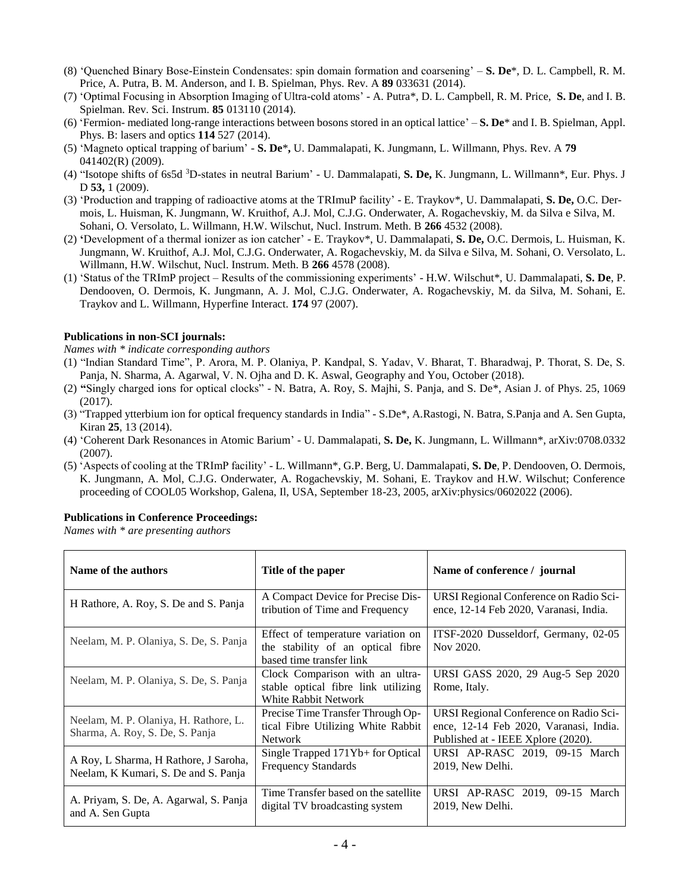- (8) 'Quenched Binary Bose-Einstein Condensates: spin domain formation and coarsening' **S. De**\*, D. L. Campbell, R. M. Price, A. Putra, B. M. Anderson, and I. B. Spielman, Phys. Rev. A **89** 033631 (2014).
- (7) 'Optimal Focusing in Absorption Imaging of Ultra-cold atoms' A. Putra\*, D. L. Campbell, R. M. Price, **S. De**, and I. B. Spielman. Rev. Sci. Instrum. **85** 013110 (2014).
- (6) 'Fermion- mediated long-range interactions between bosons stored in an optical lattice' **S. De**\* and I. B. Spielman, Appl. Phys. B: lasers and optics **114** 527 (2014).
- (5) 'Magneto optical trapping of barium' **S. De**\***,** U. Dammalapati, K. Jungmann, L. Willmann, Phys. Rev. A **79** 041402(R) (2009).
- (4) "Isotope shifts of 6s5d <sup>3</sup>D-states in neutral Barium' U. Dammalapati, **S. De,** K. Jungmann, L. Willmann\*, Eur. Phys. J D **53,** 1 (2009).
- (3) 'Production and trapping of radioactive atoms at the TRImuP facility' E. Traykov\*, U. Dammalapati, **S. De,** O.C. Dermois, L. Huisman, K. Jungmann, W. Kruithof, A.J. Mol, C.J.G. Onderwater, A. Rogachevskiy, M. da Silva e Silva, M. Sohani, O. Versolato, L. Willmann, H.W. Wilschut, Nucl. Instrum. Meth. B **266** 4532 (2008).
- (2) **'**Development of a thermal ionizer as ion catcher' E. Traykov\*, U. Dammalapati, **S. De,** O.C. Dermois, L. Huisman, K. Jungmann, W. Kruithof, A.J. Mol, C.J.G. Onderwater, A. Rogachevskiy, M. da Silva e Silva, M. Sohani, O. Versolato, L. Willmann, H.W. Wilschut, Nucl. Instrum. Meth. B **266** 4578 (2008).
- (1) 'Status of the TRImP project Results of the commissioning experiments' H.W. Wilschut\*, U. Dammalapati, **S. De**, P. Dendooven, O. Dermois, K. Jungmann, A. J. Mol, C.J.G. Onderwater, A. Rogachevskiy, M. da Silva, M. Sohani, E. Traykov and L. Willmann, Hyperfine Interact. **174** 97 (2007).

# **Publications in non-SCI journals:**

*Names with \* indicate corresponding authors*

- (1) "Indian Standard Time", P. Arora, M. P. Olaniya, P. Kandpal, S. Yadav, V. Bharat, T. Bharadwaj, P. Thorat, S. De, S. Panja, N. Sharma, A. Agarwal, V. N. Ojha and D. K. Aswal, Geography and You, October (2018).
- (2) **"**Singly charged ions for optical clocks" N. Batra, A. Roy, S. Majhi, S. Panja, and S. De\*, Asian J. of Phys. 25, 1069 (2017).
- (3) "Trapped ytterbium ion for optical frequency standards in India" S.De\*, A.Rastogi, N. Batra, S.Panja and A. Sen Gupta, Kiran **25**, 13 (2014).
- (4) 'Coherent Dark Resonances in Atomic Barium' U. Dammalapati, **S. De,** K. Jungmann, L. Willmann\*, arXiv:0708.0332 (2007).
- (5) 'Aspects of cooling at the TRImP facility' L. Willmann\*, G.P. Berg, U. Dammalapati, **S. De**, P. Dendooven, O. Dermois, K. Jungmann, A. Mol, C.J.G. Onderwater, A. Rogachevskiy, M. Sohani, E. Traykov and H.W. Wilschut; Conference proceeding of COOL05 Workshop, Galena, Il, USA, September 18-23, 2005, arXiv:physics/0602022 (2006).

# **Publications in Conference Proceedings:**

*Names with \* are presenting authors*

| Name of the authors                                                           | Title of the paper                                                                                    | Name of conference / journal                                                                                           |
|-------------------------------------------------------------------------------|-------------------------------------------------------------------------------------------------------|------------------------------------------------------------------------------------------------------------------------|
| H Rathore, A. Roy, S. De and S. Panja                                         | A Compact Device for Precise Dis-<br>tribution of Time and Frequency                                  | URSI Regional Conference on Radio Sci-<br>ence, 12-14 Feb 2020, Varanasi, India.                                       |
| Neelam, M. P. Olaniya, S. De, S. Panja                                        | Effect of temperature variation on<br>the stability of an optical fibre<br>based time transfer link   | ITSF-2020 Dusseldorf, Germany, 02-05<br>Nov 2020.                                                                      |
| Neelam, M. P. Olaniya, S. De, S. Panja                                        | Clock Comparison with an ultra-<br>stable optical fibre link utilizing<br><b>White Rabbit Network</b> | URSI GASS 2020, 29 Aug-5 Sep 2020<br>Rome, Italy.                                                                      |
| Neelam, M. P. Olaniya, H. Rathore, L.<br>Sharma, A. Roy, S. De, S. Panja      | Precise Time Transfer Through Op-<br>tical Fibre Utilizing White Rabbit<br><b>Network</b>             | URSI Regional Conference on Radio Sci-<br>ence, 12-14 Feb 2020, Varanasi, India.<br>Published at - IEEE Xplore (2020). |
| A Roy, L Sharma, H Rathore, J Saroha,<br>Neelam, K Kumari, S. De and S. Panja | Single Trapped 171Yb+ for Optical<br><b>Frequency Standards</b>                                       | URSI AP-RASC 2019, 09-15 March<br>2019, New Delhi.                                                                     |
| A. Priyam, S. De, A. Agarwal, S. Panja<br>and A. Sen Gupta                    | Time Transfer based on the satellite<br>digital TV broadcasting system                                | URSI AP-RASC 2019, 09-15 March<br>2019, New Delhi.                                                                     |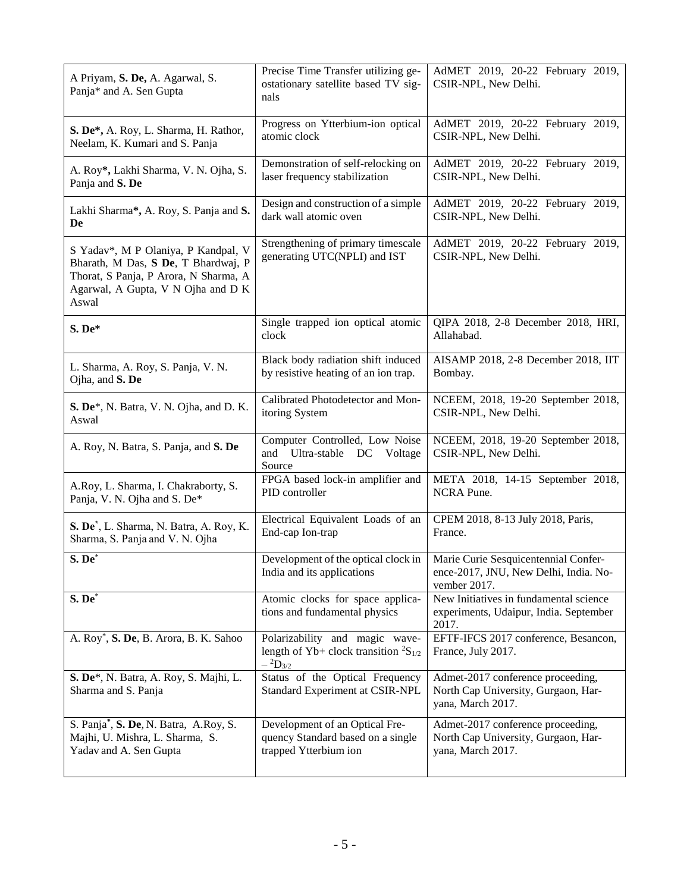| A Priyam, S. De, A. Agarwal, S.<br>Panja* and A. Sen Gupta                                                                                                         | Precise Time Transfer utilizing ge-<br>ostationary satellite based TV sig-<br>nals                   | AdMET 2019, 20-22 February 2019,<br>CSIR-NPL, New Delhi.                                      |
|--------------------------------------------------------------------------------------------------------------------------------------------------------------------|------------------------------------------------------------------------------------------------------|-----------------------------------------------------------------------------------------------|
| S. De*, A. Roy, L. Sharma, H. Rathor,                                                                                                                              | Progress on Ytterbium-ion optical                                                                    | AdMET 2019, 20-22 February 2019,                                                              |
| Neelam, K. Kumari and S. Panja                                                                                                                                     | atomic clock                                                                                         | CSIR-NPL, New Delhi.                                                                          |
| A. Roy*, Lakhi Sharma, V. N. Ojha, S.                                                                                                                              | Demonstration of self-relocking on                                                                   | AdMET 2019, 20-22 February 2019,                                                              |
| Panja and S. De                                                                                                                                                    | laser frequency stabilization                                                                        | CSIR-NPL, New Delhi.                                                                          |
| Lakhi Sharma*, A. Roy, S. Panja and S.                                                                                                                             | Design and construction of a simple                                                                  | AdMET 2019, 20-22 February 2019,                                                              |
| De                                                                                                                                                                 | dark wall atomic oven                                                                                | CSIR-NPL, New Delhi.                                                                          |
| S Yadav*, M P Olaniya, P Kandpal, V<br>Bharath, M Das, S De, T Bhardwaj, P<br>Thorat, S Panja, P Arora, N Sharma, A<br>Agarwal, A Gupta, V N Ojha and D K<br>Aswal | Strengthening of primary timescale<br>generating UTC(NPLI) and IST                                   | AdMET 2019, 20-22 February 2019,<br>CSIR-NPL, New Delhi.                                      |
| S. De*                                                                                                                                                             | Single trapped ion optical atomic<br>clock                                                           | QIPA 2018, 2-8 December 2018, HRI,<br>Allahabad.                                              |
| L. Sharma, A. Roy, S. Panja, V. N.                                                                                                                                 | Black body radiation shift induced                                                                   | AISAMP 2018, 2-8 December 2018, IIT                                                           |
| Ojha, and S. De                                                                                                                                                    | by resistive heating of an ion trap.                                                                 | Bombay.                                                                                       |
| S. De*, N. Batra, V. N. Ojha, and D. K.                                                                                                                            | Calibrated Photodetector and Mon-                                                                    | NCEEM, 2018, 19-20 September 2018,                                                            |
| Aswal                                                                                                                                                              | itoring System                                                                                       | CSIR-NPL, New Delhi.                                                                          |
| A. Roy, N. Batra, S. Panja, and S. De                                                                                                                              | Computer Controlled, Low Noise<br>and Ultra-stable<br>DC Voltage<br>Source                           | NCEEM, 2018, 19-20 September 2018,<br>CSIR-NPL, New Delhi.                                    |
| A.Roy, L. Sharma, I. Chakraborty, S.                                                                                                                               | FPGA based lock-in amplifier and                                                                     | META 2018, 14-15 September 2018,                                                              |
| Panja, V. N. Ojha and S. De*                                                                                                                                       | PID controller                                                                                       | NCRA Pune.                                                                                    |
| S. De*, L. Sharma, N. Batra, A. Roy, K.                                                                                                                            | Electrical Equivalent Loads of an                                                                    | CPEM 2018, 8-13 July 2018, Paris,                                                             |
| Sharma, S. Panja and V. N. Ojha                                                                                                                                    | End-cap Ion-trap                                                                                     | France.                                                                                       |
| $S. De*$                                                                                                                                                           | Development of the optical clock in<br>India and its applications                                    | Marie Curie Sesquicentennial Confer-<br>ence-2017, JNU, New Delhi, India. No-<br>vember 2017. |
| S. De*                                                                                                                                                             | Atomic clocks for space applica-<br>tions and fundamental physics                                    | New Initiatives in fundamental science<br>experiments, Udaipur, India. September<br>2017.     |
| A. Roy <sup>*</sup> , S. De, B. Arora, B. K. Sahoo                                                                                                                 | Polarizability and magic wave-<br>length of Yb+ clock transition ${}^{2}S_{1/2}$<br>$-{}^{2}D_{3/2}$ | EFTF-IFCS 2017 conference, Besancon,<br>France, July 2017.                                    |
| S. De*, N. Batra, A. Roy, S. Majhi, L.<br>Sharma and S. Panja                                                                                                      | Status of the Optical Frequency<br>Standard Experiment at CSIR-NPL                                   | Admet-2017 conference proceeding,<br>North Cap University, Gurgaon, Har-<br>yana, March 2017. |
| S. Panja*, S. De, N. Batra, A.Roy, S.                                                                                                                              | Development of an Optical Fre-                                                                       | Admet-2017 conference proceeding,                                                             |
| Majhi, U. Mishra, L. Sharma, S.                                                                                                                                    | quency Standard based on a single                                                                    | North Cap University, Gurgaon, Har-                                                           |
| Yadav and A. Sen Gupta                                                                                                                                             | trapped Ytterbium ion                                                                                | yana, March 2017.                                                                             |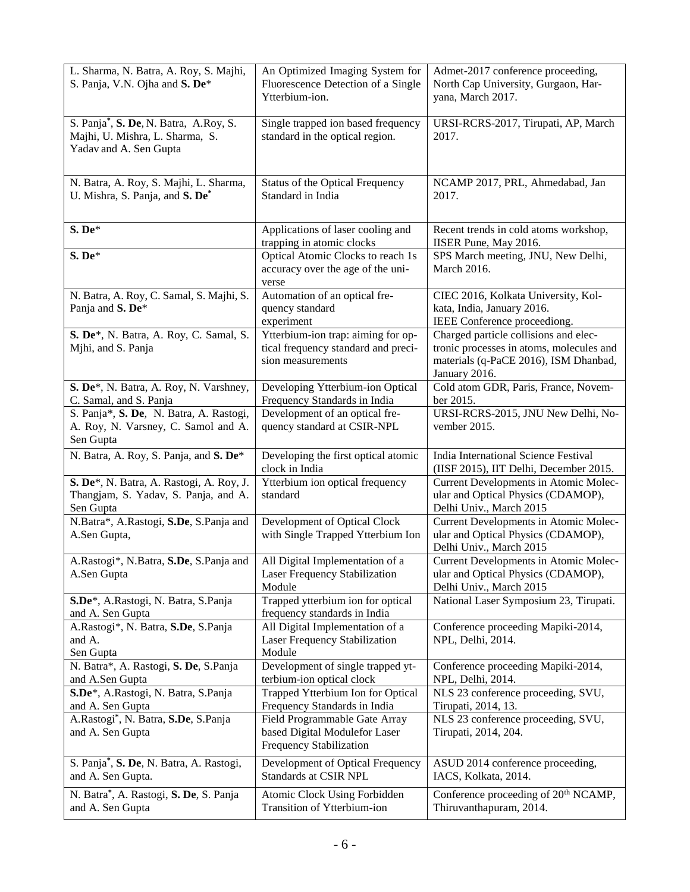| L. Sharma, N. Batra, A. Roy, S. Majhi,<br>S. Panja, V.N. Ojha and S. De*                           | An Optimized Imaging System for<br>Fluorescence Detection of a Single<br>Ytterbium-ion.        | Admet-2017 conference proceeding,<br>North Cap University, Gurgaon, Har-<br>yana, March 2017.                                               |
|----------------------------------------------------------------------------------------------------|------------------------------------------------------------------------------------------------|---------------------------------------------------------------------------------------------------------------------------------------------|
| S. Panja*, S. De, N. Batra, A.Roy, S.<br>Majhi, U. Mishra, L. Sharma, S.<br>Yadav and A. Sen Gupta | Single trapped ion based frequency<br>standard in the optical region.                          | URSI-RCRS-2017, Tirupati, AP, March<br>2017.                                                                                                |
| N. Batra, A. Roy, S. Majhi, L. Sharma,<br>U. Mishra, S. Panja, and S. De*                          | <b>Status of the Optical Frequency</b><br>Standard in India                                    | NCAMP 2017, PRL, Ahmedabad, Jan<br>2017.                                                                                                    |
| S. De*                                                                                             | Applications of laser cooling and<br>trapping in atomic clocks                                 | Recent trends in cold atoms workshop,<br>IISER Pune, May 2016.                                                                              |
| S. De*                                                                                             | Optical Atomic Clocks to reach 1s<br>accuracy over the age of the uni-<br>verse                | SPS March meeting, JNU, New Delhi,<br>March 2016.                                                                                           |
| N. Batra, A. Roy, C. Samal, S. Majhi, S.<br>Panja and S. De*                                       | Automation of an optical fre-<br>quency standard<br>experiment                                 | CIEC 2016, Kolkata University, Kol-<br>kata, India, January 2016.<br>IEEE Conference proceediong.                                           |
| S. De*, N. Batra, A. Roy, C. Samal, S.<br>Mjhi, and S. Panja                                       | Ytterbium-ion trap: aiming for op-<br>tical frequency standard and preci-<br>sion measurements | Charged particle collisions and elec-<br>tronic processes in atoms, molecules and<br>materials (q-PaCE 2016), ISM Dhanbad,<br>January 2016. |
| S. De*, N. Batra, A. Roy, N. Varshney,<br>C. Samal, and S. Panja                                   | Developing Ytterbium-ion Optical<br>Frequency Standards in India                               | Cold atom GDR, Paris, France, Novem-<br>ber 2015.                                                                                           |
| S. Panja*, S. De, N. Batra, A. Rastogi,<br>A. Roy, N. Varsney, C. Samol and A.<br>Sen Gupta        | Development of an optical fre-<br>quency standard at CSIR-NPL                                  | URSI-RCRS-2015, JNU New Delhi, No-<br>vember 2015.                                                                                          |
| N. Batra, A. Roy, S. Panja, and S. De*                                                             | Developing the first optical atomic<br>clock in India                                          | India International Science Festival<br>(IISF 2015), IIT Delhi, December 2015.                                                              |
| S. De*, N. Batra, A. Rastogi, A. Roy, J.<br>Thangjam, S. Yadav, S. Panja, and A.<br>Sen Gupta      | Ytterbium ion optical frequency<br>standard                                                    | Current Developments in Atomic Molec-<br>ular and Optical Physics (CDAMOP),<br>Delhi Univ., March 2015                                      |
| N.Batra*, A.Rastogi, S.De, S.Panja and<br>A.Sen Gupta,                                             | Development of Optical Clock<br>with Single Trapped Ytterbium Ion                              | Current Developments in Atomic Molec-<br>ular and Optical Physics (CDAMOP),<br>Delhi Univ., March 2015                                      |
| A.Rastogi*, N.Batra, S.De, S.Panja and<br>A.Sen Gupta                                              | All Digital Implementation of a<br>Laser Frequency Stabilization<br>Module                     | Current Developments in Atomic Molec-<br>ular and Optical Physics (CDAMOP),<br>Delhi Univ., March 2015                                      |
| S.De*, A.Rastogi, N. Batra, S.Panja<br>and A. Sen Gupta                                            | Trapped ytterbium ion for optical<br>frequency standards in India                              | National Laser Symposium 23, Tirupati.                                                                                                      |
| A.Rastogi*, N. Batra, S.De, S.Panja<br>and A.<br>Sen Gupta                                         | All Digital Implementation of a<br>Laser Frequency Stabilization<br>Module                     | Conference proceeding Mapiki-2014,<br>NPL, Delhi, 2014.                                                                                     |
| N. Batra*, A. Rastogi, S. De, S. Panja<br>and A.Sen Gupta                                          | Development of single trapped yt-<br>terbium-ion optical clock                                 | Conference proceeding Mapiki-2014,<br>NPL, Delhi, 2014.                                                                                     |
| S.De*, A.Rastogi, N. Batra, S.Panja<br>and A. Sen Gupta                                            | Trapped Ytterbium Ion for Optical<br>Frequency Standards in India                              | NLS 23 conference proceeding, SVU,<br>Tirupati, 2014, 13.                                                                                   |
| A.Rastogi*, N. Batra, S.De, S.Panja<br>and A. Sen Gupta                                            | Field Programmable Gate Array<br>based Digital Modulefor Laser<br>Frequency Stabilization      | NLS 23 conference proceeding, SVU,<br>Tirupati, 2014, 204.                                                                                  |
| S. Panja*, S. De, N. Batra, A. Rastogi,<br>and A. Sen Gupta.                                       | Development of Optical Frequency<br>Standards at CSIR NPL                                      | ASUD 2014 conference proceeding,<br>IACS, Kolkata, 2014.                                                                                    |
| N. Batra*, A. Rastogi, S. De, S. Panja<br>and A. Sen Gupta                                         | Atomic Clock Using Forbidden<br>Transition of Ytterbium-ion                                    | Conference proceeding of 20 <sup>th</sup> NCAMP,<br>Thiruvanthapuram, 2014.                                                                 |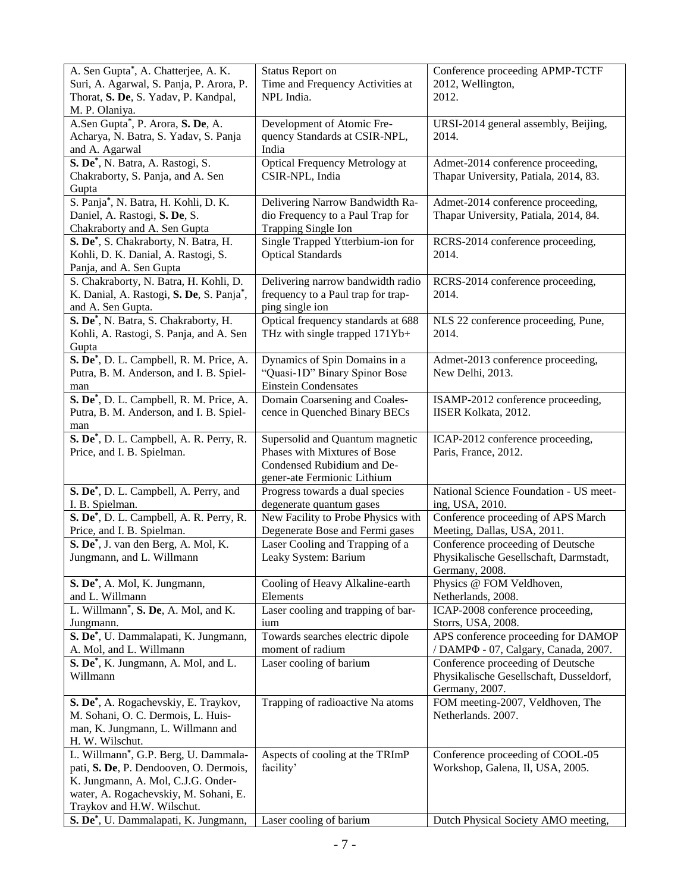| A. Sen Gupta*, A. Chatterjee, A. K.<br>Suri, A. Agarwal, S. Panja, P. Arora, P.<br>Thorat, S. De, S. Yadav, P. Kandpal,<br>M. P. Olaniya.                                                   | Status Report on<br>Time and Frequency Activities at<br>NPL India.                                                           | Conference proceeding APMP-TCTF<br>2012, Wellington,<br>2012.                                  |
|---------------------------------------------------------------------------------------------------------------------------------------------------------------------------------------------|------------------------------------------------------------------------------------------------------------------------------|------------------------------------------------------------------------------------------------|
| A.Sen Gupta*, P. Arora, S. De, A.<br>Acharya, N. Batra, S. Yadav, S. Panja<br>and A. Agarwal                                                                                                | Development of Atomic Fre-<br>quency Standards at CSIR-NPL,<br>India                                                         | URSI-2014 general assembly, Beijing,<br>2014.                                                  |
| S. De*, N. Batra, A. Rastogi, S.<br>Chakraborty, S. Panja, and A. Sen<br>Gupta                                                                                                              | Optical Frequency Metrology at<br>CSIR-NPL, India                                                                            | Admet-2014 conference proceeding,<br>Thapar University, Patiala, 2014, 83.                     |
| S. Panja*, N. Batra, H. Kohli, D. K.<br>Daniel, A. Rastogi, S. De, S.<br>Chakraborty and A. Sen Gupta                                                                                       | Delivering Narrow Bandwidth Ra-<br>dio Frequency to a Paul Trap for<br>Trapping Single Ion                                   | Admet-2014 conference proceeding,<br>Thapar University, Patiala, 2014, 84.                     |
| S. De*, S. Chakraborty, N. Batra, H.<br>Kohli, D. K. Danial, A. Rastogi, S.<br>Panja, and A. Sen Gupta                                                                                      | Single Trapped Ytterbium-ion for<br><b>Optical Standards</b>                                                                 | RCRS-2014 conference proceeding,<br>2014.                                                      |
| S. Chakraborty, N. Batra, H. Kohli, D.<br>K. Danial, A. Rastogi, S. De, S. Panja*,<br>and A. Sen Gupta.                                                                                     | Delivering narrow bandwidth radio<br>frequency to a Paul trap for trap-<br>ping single ion                                   | RCRS-2014 conference proceeding,<br>2014.                                                      |
| S. De*, N. Batra, S. Chakraborty, H.<br>Kohli, A. Rastogi, S. Panja, and A. Sen<br>Gupta                                                                                                    | Optical frequency standards at 688<br>THz with single trapped 171Yb+                                                         | NLS 22 conference proceeding, Pune,<br>2014.                                                   |
| S. De <sup>*</sup> , D. L. Campbell, R. M. Price, A.<br>Putra, B. M. Anderson, and I. B. Spiel-<br>man                                                                                      | Dynamics of Spin Domains in a<br>"Quasi-1D" Binary Spinor Bose<br><b>Einstein Condensates</b>                                | Admet-2013 conference proceeding,<br>New Delhi, 2013.                                          |
| S. De <sup>*</sup> , D. L. Campbell, R. M. Price, A.<br>Putra, B. M. Anderson, and I. B. Spiel-<br>man                                                                                      | Domain Coarsening and Coales-<br>cence in Quenched Binary BECs                                                               | ISAMP-2012 conference proceeding,<br>IISER Kolkata, 2012.                                      |
| S. De <sup>*</sup> , D. L. Campbell, A. R. Perry, R.<br>Price, and I. B. Spielman.                                                                                                          | Supersolid and Quantum magnetic<br>Phases with Mixtures of Bose<br>Condensed Rubidium and De-<br>gener-ate Fermionic Lithium | ICAP-2012 conference proceeding,<br>Paris, France, 2012.                                       |
| S. De <sup>*</sup> , D. L. Campbell, A. Perry, and                                                                                                                                          | Progress towards a dual species                                                                                              | National Science Foundation - US meet-                                                         |
| I. B. Spielman.<br>S. De <sup>*</sup> , D. L. Campbell, A. R. Perry, R.                                                                                                                     | degenerate quantum gases<br>New Facility to Probe Physics with                                                               | ing, USA, 2010.<br>Conference proceeding of APS March                                          |
| Price, and I. B. Spielman.                                                                                                                                                                  | Degenerate Bose and Fermi gases                                                                                              | Meeting, Dallas, USA, 2011.                                                                    |
| S. De <sup>*</sup> , J. van den Berg, A. Mol, K.<br>Jungmann, and L. Willmann                                                                                                               | Laser Cooling and Trapping of a<br>Leaky System: Barium                                                                      | Conference proceeding of Deutsche<br>Physikalische Gesellschaft, Darmstadt,<br>Germany, 2008.  |
| S. De <sup>*</sup> , A. Mol, K. Jungmann,<br>and L. Willmann                                                                                                                                | Cooling of Heavy Alkaline-earth<br>Elements                                                                                  | Physics @ FOM Veldhoven,                                                                       |
| L. Willmann <sup>*</sup> , S. De, A. Mol, and K.                                                                                                                                            | Laser cooling and trapping of bar-                                                                                           | Netherlands, 2008.<br>ICAP-2008 conference proceeding,                                         |
| Jungmann.                                                                                                                                                                                   | ium                                                                                                                          | Storrs, USA, 2008.                                                                             |
| S. De*, U. Dammalapati, K. Jungmann,                                                                                                                                                        | Towards searches electric dipole                                                                                             | APS conference proceeding for DAMOP                                                            |
| A. Mol, and L. Willmann                                                                                                                                                                     | moment of radium                                                                                                             | / DAMP $\Phi$ - 07, Calgary, Canada, 2007.                                                     |
| S. De <sup>*</sup> , K. Jungmann, A. Mol, and L.<br>Willmann                                                                                                                                | Laser cooling of barium                                                                                                      | Conference proceeding of Deutsche<br>Physikalische Gesellschaft, Dusseldorf,<br>Germany, 2007. |
| S. De*, A. Rogachevskiy, E. Traykov,<br>M. Sohani, O. C. Dermois, L. Huis-<br>man, K. Jungmann, L. Willmann and<br>H. W. Wilschut.                                                          | Trapping of radioactive Na atoms                                                                                             | FOM meeting-2007, Veldhoven, The<br>Netherlands. 2007.                                         |
| L. Willmann*, G.P. Berg, U. Dammala-<br>pati, S. De, P. Dendooven, O. Dermois,<br>K. Jungmann, A. Mol, C.J.G. Onder-<br>water, A. Rogachevskiy, M. Sohani, E.<br>Traykov and H.W. Wilschut. | Aspects of cooling at the TRImP<br>facility'                                                                                 | Conference proceeding of COOL-05<br>Workshop, Galena, Il, USA, 2005.                           |
| S. De*, U. Dammalapati, K. Jungmann,                                                                                                                                                        | Laser cooling of barium                                                                                                      | Dutch Physical Society AMO meeting,                                                            |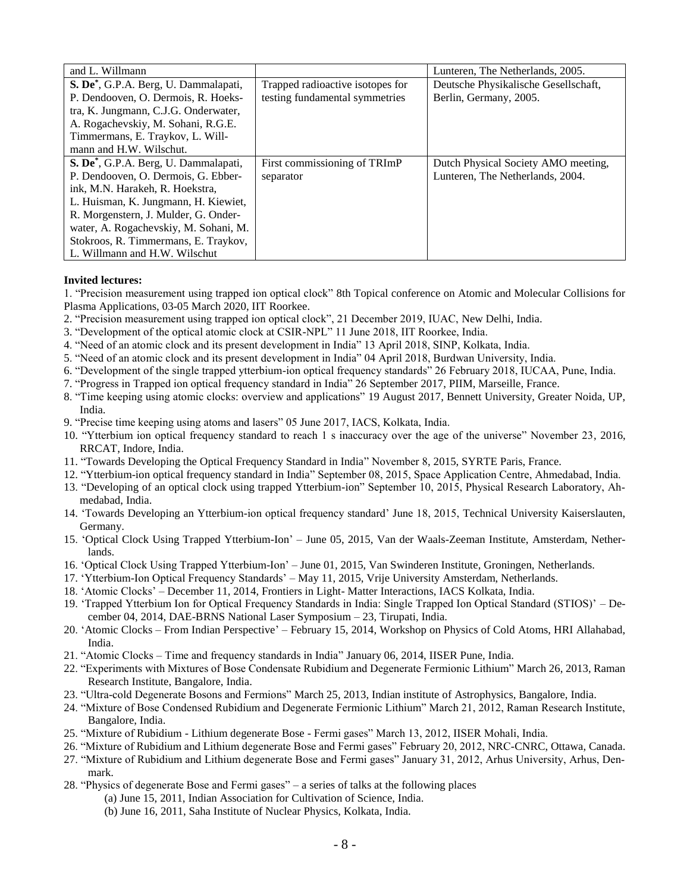| and L. Willmann                                   |                                  | Lunteren, The Netherlands, 2005.     |
|---------------------------------------------------|----------------------------------|--------------------------------------|
| S. De <sup>*</sup> , G.P.A. Berg, U. Dammalapati, | Trapped radioactive isotopes for | Deutsche Physikalische Gesellschaft, |
| P. Dendooven, O. Dermois, R. Hoeks-               | testing fundamental symmetries   | Berlin, Germany, 2005.               |
| tra, K. Jungmann, C.J.G. Onderwater,              |                                  |                                      |
| A. Rogachevskiy, M. Sohani, R.G.E.                |                                  |                                      |
| Timmermans, E. Traykov, L. Will-                  |                                  |                                      |
| mann and H.W. Wilschut.                           |                                  |                                      |
| S. De <sup>*</sup> , G.P.A. Berg, U. Dammalapati, | First commissioning of TRImP     | Dutch Physical Society AMO meeting,  |
| P. Dendooven, O. Dermois, G. Ebber-               | separator                        | Lunteren, The Netherlands, 2004.     |
| ink, M.N. Harakeh, R. Hoekstra,                   |                                  |                                      |
| L. Huisman, K. Jungmann, H. Kiewiet,              |                                  |                                      |
| R. Morgenstern, J. Mulder, G. Onder-              |                                  |                                      |
| water, A. Rogachevskiy, M. Sohani, M.             |                                  |                                      |
| Stokroos, R. Timmermans, E. Traykov,              |                                  |                                      |
| L. Willmann and H.W. Wilschut                     |                                  |                                      |

#### **Invited lectures:**

1. "Precision measurement using trapped ion optical clock" 8th Topical conference on Atomic and Molecular Collisions for Plasma Applications, 03-05 March 2020, IIT Roorkee.

- 2. "Precision measurement using trapped ion optical clock", 21 December 2019, IUAC, New Delhi, India.
- 3. "Development of the optical atomic clock at CSIR-NPL" 11 June 2018, IIT Roorkee, India.
- 4. "Need of an atomic clock and its present development in India" 13 April 2018, SINP, Kolkata, India.
- 5. "Need of an atomic clock and its present development in India" 04 April 2018, Burdwan University, India.
- 6. "Development of the single trapped ytterbium-ion optical frequency standards" 26 February 2018, IUCAA, Pune, India.
- 7. "Progress in Trapped ion optical frequency standard in India" 26 September 2017, PIIM, Marseille, France.
- 8. "Time keeping using atomic clocks: overview and applications" 19 August 2017, Bennett University, Greater Noida, UP, India.
- 9. "Precise time keeping using atoms and lasers" 05 June 2017, IACS, Kolkata, India.
- 10. "Ytterbium ion optical frequency standard to reach 1 s inaccuracy over the age of the universe" November 23, 2016, RRCAT, Indore, India.
- 11. "Towards Developing the Optical Frequency Standard in India" November 8, 2015, SYRTE Paris, France.
- 12. "Ytterbium-ion optical frequency standard in India" September 08, 2015, Space Application Centre, Ahmedabad, India.
- 13. "Developing of an optical clock using trapped Ytterbium-ion" September 10, 2015, Physical Research Laboratory, Ahmedabad, India.
- 14. 'Towards Developing an Ytterbium-ion optical frequency standard' June 18, 2015, Technical University Kaiserslauten, Germany.
- 15. 'Optical Clock Using Trapped Ytterbium-Ion' June 05, 2015, Van der Waals-Zeeman Institute, Amsterdam, Netherlands.
- 16. 'Optical Clock Using Trapped Ytterbium-Ion' June 01, 2015, Van Swinderen Institute, Groningen, Netherlands.
- 17. 'Ytterbium-Ion Optical Frequency Standards' May 11, 2015, Vrije University Amsterdam, Netherlands.
- 18. 'Atomic Clocks' December 11, 2014, Frontiers in Light- Matter Interactions, IACS Kolkata, India.
- 19. 'Trapped Ytterbium Ion for Optical Frequency Standards in India: Single Trapped Ion Optical Standard (STIOS)' December 04, 2014, DAE-BRNS National Laser Symposium – 23, Tirupati, India.
- 20. 'Atomic Clocks From Indian Perspective' February 15, 2014, Workshop on Physics of Cold Atoms, HRI Allahabad, India.
- 21. "Atomic Clocks Time and frequency standards in India" January 06, 2014, IISER Pune, India.
- 22. "Experiments with Mixtures of Bose Condensate Rubidium and Degenerate Fermionic Lithium" March 26, 2013, Raman Research Institute, Bangalore, India.
- 23. "Ultra-cold Degenerate Bosons and Fermions" March 25, 2013, Indian institute of Astrophysics, Bangalore, India.
- 24. "Mixture of Bose Condensed Rubidium and Degenerate Fermionic Lithium" March 21, 2012, Raman Research Institute, Bangalore, India.
- 25. "Mixture of Rubidium Lithium degenerate Bose Fermi gases" March 13, 2012, IISER Mohali, India.
- 26. "Mixture of Rubidium and Lithium degenerate Bose and Fermi gases" February 20, 2012, NRC-CNRC, Ottawa, Canada.
- 27. "Mixture of Rubidium and Lithium degenerate Bose and Fermi gases" January 31, 2012, Arhus University, Arhus, Denmark.
- 28. "Physics of degenerate Bose and Fermi gases" a series of talks at the following places
	- (a) June 15, 2011, Indian Association for Cultivation of Science, India.
	- (b) June 16, 2011, Saha Institute of Nuclear Physics, Kolkata, India.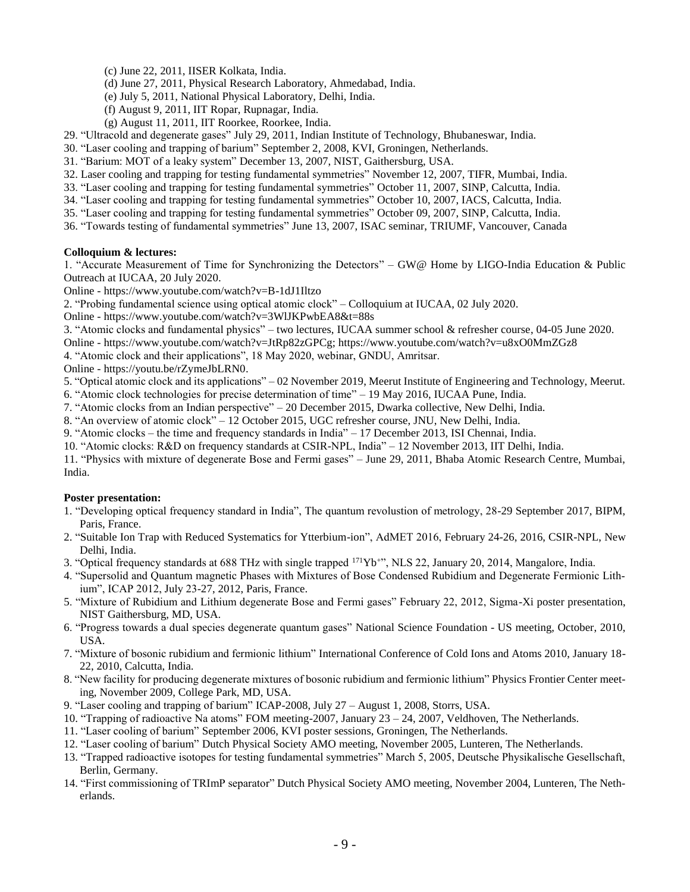- (c) June 22, 2011, IISER Kolkata, India.
- (d) June 27, 2011, Physical Research Laboratory, Ahmedabad, India.
- (e) July 5, 2011, National Physical Laboratory, Delhi, India.
- (f) August 9, 2011, IIT Ropar, Rupnagar, India.
- (g) August 11, 2011, IIT Roorkee, Roorkee, India.
- 29. "Ultracold and degenerate gases" July 29, 2011, Indian Institute of Technology, Bhubaneswar, India.
- 30. "Laser cooling and trapping of barium" September 2, 2008, KVI, Groningen, Netherlands.
- 31. "Barium: MOT of a leaky system" December 13, 2007, NIST, Gaithersburg, USA.
- 32. Laser cooling and trapping for testing fundamental symmetries" November 12, 2007, TIFR, Mumbai, India.
- 33. "Laser cooling and trapping for testing fundamental symmetries" October 11, 2007, SINP, Calcutta, India.
- 34. "Laser cooling and trapping for testing fundamental symmetries" October 10, 2007, IACS, Calcutta, India.
- 35. "Laser cooling and trapping for testing fundamental symmetries" October 09, 2007, SINP, Calcutta, India.
- 36. "Towards testing of fundamental symmetries" June 13, 2007, ISAC seminar, TRIUMF, Vancouver, Canada

#### **Colloquium & lectures:**

1. "Accurate Measurement of Time for Synchronizing the Detectors" – GW@ Home by LIGO-India Education & Public Outreach at IUCAA, 20 July 2020.

Online - https://www.youtube.com/watch?v=B-1dJ1Iltzo

2. "Probing fundamental science using optical atomic clock" – Colloquium at IUCAA, 02 July 2020.

Online - https://www.youtube.com/watch?v=3WlJKPwbEA8&t=88s

3. "Atomic clocks and fundamental physics" – two lectures, IUCAA summer school & refresher course, 04-05 June 2020.

Online - https://www.youtube.com/watch?v=JtRp82zGPCg; https://www.youtube.com/watch?v=u8xO0MmZGz8

4. "Atomic clock and their applications", 18 May 2020, webinar, GNDU, Amritsar.

Online - https://youtu.be/rZymeJbLRN0.

5. "Optical atomic clock and its applications" – 02 November 2019, Meerut Institute of Engineering and Technology, Meerut.

6. "Atomic clock technologies for precise determination of time" – 19 May 2016, IUCAA Pune, India.

- 7. "Atomic clocks from an Indian perspective" 20 December 2015, Dwarka collective, New Delhi, India.
- 8. "An overview of atomic clock" 12 October 2015, UGC refresher course, JNU, New Delhi, India.
- 9. "Atomic clocks the time and frequency standards in India" 17 December 2013, ISI Chennai, India.

10. "Atomic clocks: R&D on frequency standards at CSIR-NPL, India" – 12 November 2013, IIT Delhi, India.

11. "Physics with mixture of degenerate Bose and Fermi gases" – June 29, 2011, Bhaba Atomic Research Centre, Mumbai, India.

#### **Poster presentation:**

- 1. "Developing optical frequency standard in India", The quantum revolustion of metrology, 28-29 September 2017, BIPM, Paris, France.
- 2. "Suitable Ion Trap with Reduced Systematics for Ytterbium-ion", AdMET 2016, February 24-26, 2016, CSIR-NPL, New Delhi, India.
- 3. "Optical frequency standards at 688 THz with single trapped <sup>171</sup>Yb<sup>+</sup>", NLS 22, January 20, 2014, Mangalore, India.
- 4. "Supersolid and Quantum magnetic Phases with Mixtures of Bose Condensed Rubidium and Degenerate Fermionic Lithium", ICAP 2012, July 23-27, 2012, Paris, France.
- 5. "Mixture of Rubidium and Lithium degenerate Bose and Fermi gases" February 22, 2012, Sigma-Xi poster presentation, NIST Gaithersburg, MD, USA.
- 6. "Progress towards a dual species degenerate quantum gases" National Science Foundation US meeting, October, 2010, USA.
- 7. "Mixture of bosonic rubidium and fermionic lithium" International Conference of Cold Ions and Atoms 2010, January 18- 22, 2010, Calcutta, India.
- 8. "New facility for producing degenerate mixtures of bosonic rubidium and fermionic lithium" Physics Frontier Center meeting, November 2009, College Park, MD, USA.
- 9. "Laser cooling and trapping of barium" ICAP-2008, July 27 August 1, 2008, Storrs, USA.
- 10. "Trapping of radioactive Na atoms" FOM meeting-2007, January 23 24, 2007, Veldhoven, The Netherlands.
- 11. "Laser cooling of barium" September 2006, KVI poster sessions, Groningen, The Netherlands.
- 12. "Laser cooling of barium" Dutch Physical Society AMO meeting, November 2005, Lunteren, The Netherlands.
- 13. "Trapped radioactive isotopes for testing fundamental symmetries" March 5, 2005, Deutsche Physikalische Gesellschaft, Berlin, Germany.
- 14. "First commissioning of TRImP separator" Dutch Physical Society AMO meeting, November 2004, Lunteren, The Netherlands.